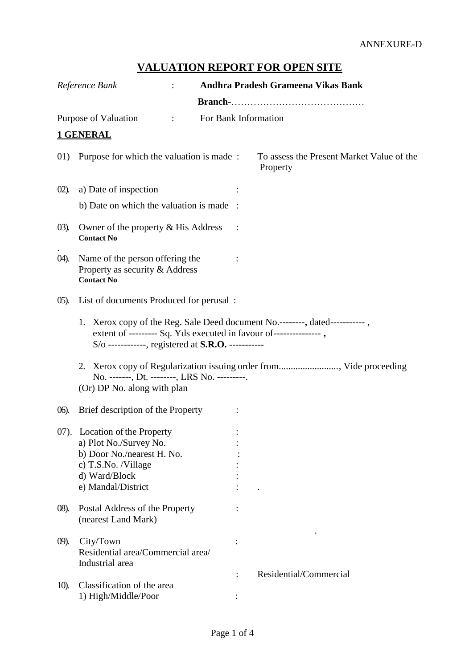# **VALUATION REPORT FOR OPEN SITE**

|          | Reference Bank                                                                                                                                                                                           | Andhra Pradesh Grameena Vikas Bank                                 |
|----------|----------------------------------------------------------------------------------------------------------------------------------------------------------------------------------------------------------|--------------------------------------------------------------------|
|          |                                                                                                                                                                                                          |                                                                    |
|          | Purpose of Valuation                                                                                                                                                                                     | For Bank Information                                               |
|          | <b>1 GENERAL</b>                                                                                                                                                                                         |                                                                    |
| 01)      | Purpose for which the valuation is made:                                                                                                                                                                 | To assess the Present Market Value of the<br>Property              |
| $(02)$ . | a) Date of inspection                                                                                                                                                                                    |                                                                    |
|          | b) Date on which the valuation is made                                                                                                                                                                   |                                                                    |
| $(03)$ . | Owner of the property & His Address<br><b>Contact No</b>                                                                                                                                                 |                                                                    |
| 04).     | Name of the person offering the<br>Property as security & Address<br><b>Contact No</b>                                                                                                                   |                                                                    |
| $(05)$ . | List of documents Produced for perusal:                                                                                                                                                                  |                                                                    |
|          | 1. Xerox copy of the Reg. Sale Deed document No.--------, dated------------,<br>extent of --------- Sq. Yds executed in favour of----------------,<br>$S/O$ -----------, registered at S.R.O. ---------- |                                                                    |
|          | No. -------, Dt. --------, LRS No. ---------.<br>(Or) DP No. along with plan                                                                                                                             | 2. Xerox copy of Regularization issuing order from Vide proceeding |
| $06$ ).  | Brief description of the Property                                                                                                                                                                        |                                                                    |
|          | 07). Location of the Property<br>a) Plot No./Survey No.<br>b) Door No./nearest H. No.<br>c) T.S.No. /Village<br>d) Ward/Block<br>e) Mandal/District                                                      |                                                                    |
| $(08)$ . | Postal Address of the Property<br>(nearest Land Mark)                                                                                                                                                    |                                                                    |
| $(9)$ .  | City/Town<br>Residential area/Commercial area/<br>Industrial area                                                                                                                                        | Residential/Commercial                                             |
| 10).     | Classification of the area<br>1) High/Middle/Poor                                                                                                                                                        |                                                                    |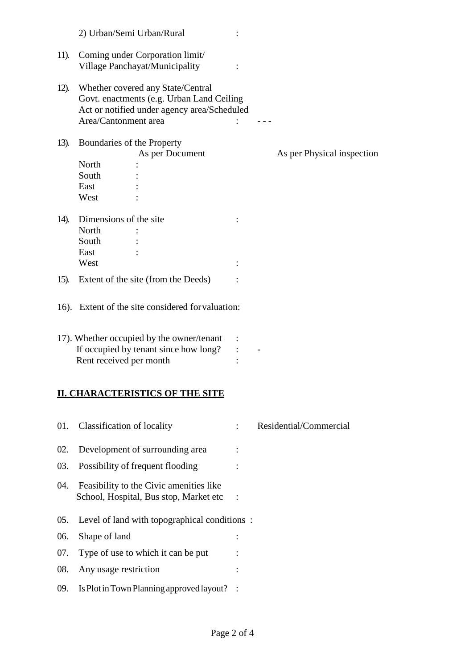|         | 2) Urban/Semi Urban/Rural                                                                                                                                          |                            |
|---------|--------------------------------------------------------------------------------------------------------------------------------------------------------------------|----------------------------|
| 11).    | Coming under Corporation limit/<br>Village Panchayat/Municipality                                                                                                  |                            |
| $12)$ . | Whether covered any State/Central<br>Govt. enactments (e.g. Urban Land Ceiling<br>Act or notified under agency area/Scheduled<br>Area/Cantonment area              |                            |
| 13).    | Boundaries of the Property<br>As per Document                                                                                                                      | As per Physical inspection |
|         | North<br>South<br>East<br>West                                                                                                                                     |                            |
| 14).    | Dimensions of the site<br>North<br>South<br>East<br>West                                                                                                           |                            |
| $15)$ . | Extent of the site (from the Deeds)                                                                                                                                |                            |
|         | 16). Extent of the site considered for valuation:<br>17). Whether occupied by the owner/tenant<br>If occupied by tenant since how long?<br>Rent received per month |                            |
|         | <b>II. CHARACTERISTICS OF THE SITE</b>                                                                                                                             |                            |
| 01.     | <b>Classification of locality</b>                                                                                                                                  | Residential/Commercial     |
| 02.     | Development of surrounding area                                                                                                                                    |                            |
| 03.     | Possibility of frequent flooding                                                                                                                                   |                            |
| 04.     | Feasibility to the Civic amenities like<br>School, Hospital, Bus stop, Market etc                                                                                  |                            |
| 05.     | Level of land with topographical conditions:                                                                                                                       |                            |
| 06.     | Shape of land                                                                                                                                                      |                            |
| 07.     | Type of use to which it can be put                                                                                                                                 |                            |
| 08.     | Any usage restriction                                                                                                                                              |                            |
| 09.     | Is Plot in Town Planning approved layout?                                                                                                                          |                            |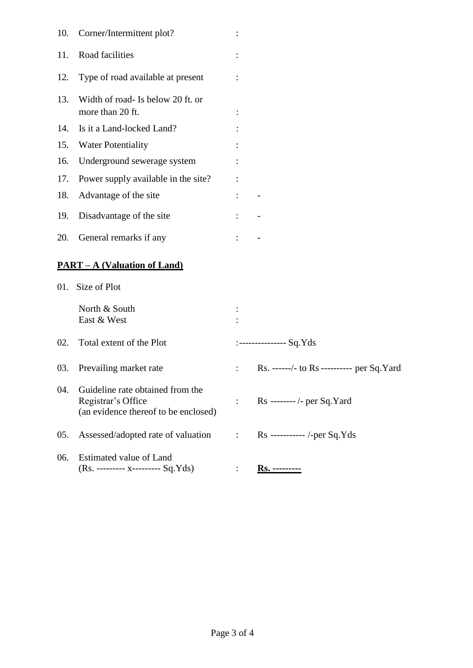| 10. | Corner/Intermittent plot?                                                                      |                |                                            |
|-----|------------------------------------------------------------------------------------------------|----------------|--------------------------------------------|
| 11. | Road facilities                                                                                |                |                                            |
| 12. | Type of road available at present                                                              |                |                                            |
| 13. | Width of road- Is below 20 ft. or<br>more than 20 ft.                                          |                |                                            |
| 14. | Is it a Land-locked Land?                                                                      |                |                                            |
| 15. | <b>Water Potentiality</b>                                                                      |                |                                            |
| 16. | Underground sewerage system                                                                    |                |                                            |
| 17. | Power supply available in the site?                                                            |                |                                            |
| 18. | Advantage of the site                                                                          |                |                                            |
| 19. | Disadvantage of the site                                                                       |                |                                            |
| 20. | General remarks if any                                                                         |                |                                            |
|     | <u> PART – A (Valuation of Land)</u>                                                           |                |                                            |
|     | 01. Size of Plot                                                                               |                |                                            |
|     | North & South<br>East & West                                                                   |                |                                            |
| 02. | Total extent of the Plot                                                                       |                | $:$ ---------------- Sq.Yds                |
| 03. | Prevailing market rate                                                                         |                | Rs. ------/- to Rs ---------- per Sq. Yard |
| 04. | Guideline rate obtained from the<br>Registrar's Office<br>(an evidence thereof to be enclosed) |                | Rs -------- /- per Sq. Yard                |
| 05. | Assessed/adopted rate of valuation                                                             | $\ddot{\cdot}$ | Rs ----------- /-per Sq.Yds                |
| 06. | Estimated value of Land<br>(Rs. --------- x--------- Sq.Yds)                                   |                | <u>Rs. ----------</u>                      |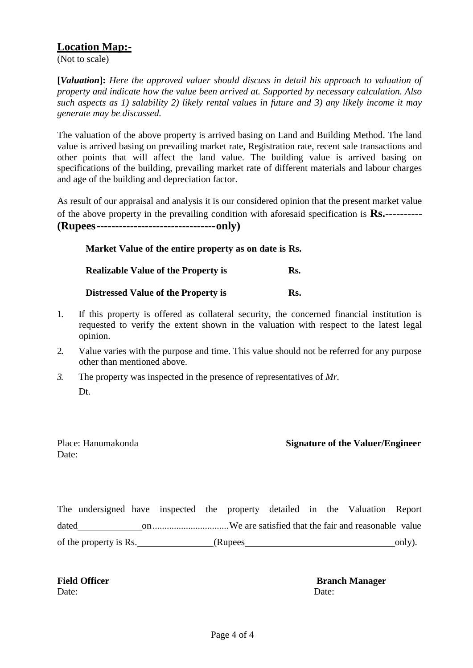### **Location Map:-**

(Not to scale)

**[***Valuation***]:** *Here the approved valuer should discuss in detail his approach to valuation of property and indicate how the value been arrived at. Supported by necessary calculation. Also such aspects as 1) salability 2) likely rental values in future and 3) any likely income it may generate may be discussed.*

The valuation of the above property is arrived basing on Land and Building Method. The land value is arrived basing on prevailing market rate, Registration rate, recent sale transactions and other points that will affect the land value. The building value is arrived basing on specifications of the building, prevailing market rate of different materials and labour charges and age of the building and depreciation factor.

As result of our appraisal and analysis it is our considered opinion that the present market value of the above property in the prevailing condition with aforesaid specification is **Rs.---------- (Rupees--------------------------------only)**

| Market Value of the entire property as on date is Rs. |     |
|-------------------------------------------------------|-----|
| <b>Realizable Value of the Property is</b>            | Rs. |
| Distressed Value of the Property is                   | Rs. |

- 1. If this property is offered as collateral security, the concerned financial institution is requested to verify the extent shown in the valuation with respect to the latest legal opinion.
- 2. Value varies with the purpose and time. This value should not be referred for any purpose other than mentioned above.
- *3.* The property was inspected in the presence of representatives of *Mr.* Dt.

Date:

#### Place: Hanumakonda **Signature of the Valuer/Engineer**

The undersigned have inspected the property detailed in the Valuation Report dated on................................We are satisfied that the fair and reasonable value of the property is Rs. (Rupees only).

Date: Date:

**Field Officer Branch Manager**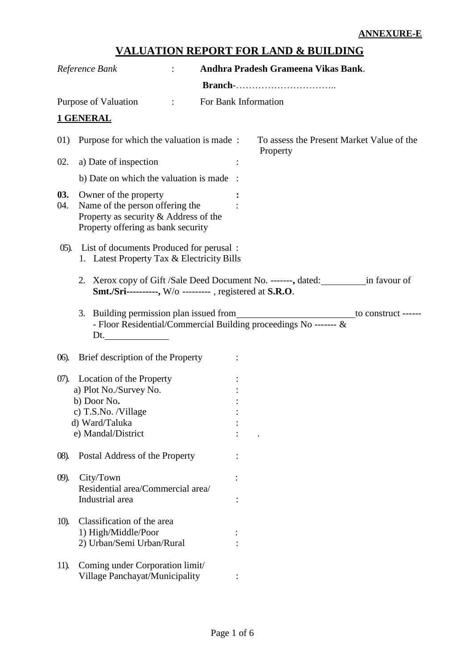# **VALUATION REPORT FOR LAND & BUILDING**

|            | Reference Bank                                                                                                                          |                      | Andhra Pradesh Grameena Vikas Bank.                                                    |
|------------|-----------------------------------------------------------------------------------------------------------------------------------------|----------------------|----------------------------------------------------------------------------------------|
|            |                                                                                                                                         |                      |                                                                                        |
|            | Purpose of Valuation                                                                                                                    | For Bank Information |                                                                                        |
|            | <b>1 GENERAL</b>                                                                                                                        |                      |                                                                                        |
| 01)        | Purpose for which the valuation is made:                                                                                                |                      | To assess the Present Market Value of the<br>Property                                  |
| 02.        | a) Date of inspection                                                                                                                   |                      |                                                                                        |
|            | b) Date on which the valuation is made :                                                                                                |                      |                                                                                        |
| 03.<br>04. | Owner of the property<br>Name of the person offering the<br>Property as security & Address of the<br>Property offering as bank security |                      |                                                                                        |
|            | 05). List of documents Produced for perusal :<br>1. Latest Property Tax & Electricity Bills                                             |                      |                                                                                        |
|            | <b>Smt./Sri----------,</b> W/o ---------, registered at <b>S.R.O</b> .                                                                  |                      | 2. Xerox copy of Gift /Sale Deed Document No. -------, dated: ____________in favour of |
|            | - Floor Residential/Commercial Building proceedings No ------- &<br>Dt. $\qquad \qquad \qquad$                                          |                      | to construct ------                                                                    |
| $06$ ).    | Brief description of the Property                                                                                                       |                      |                                                                                        |
| $(07)$ .   | Location of the Property<br>a) Plot No./Survey No.<br>b) Door No.<br>c) T.S.No. /Village<br>d) Ward/Taluka<br>e) Mandal/District        |                      |                                                                                        |
| $(08)$ .   | Postal Address of the Property                                                                                                          |                      |                                                                                        |
| $(9)$ .    | City/Town<br>Residential area/Commercial area/<br>Industrial area                                                                       |                      |                                                                                        |
| 10).       | Classification of the area<br>1) High/Middle/Poor<br>2) Urban/Semi Urban/Rural                                                          |                      |                                                                                        |
| 11).       | Coming under Corporation limit/<br>Village Panchayat/Municipality                                                                       |                      |                                                                                        |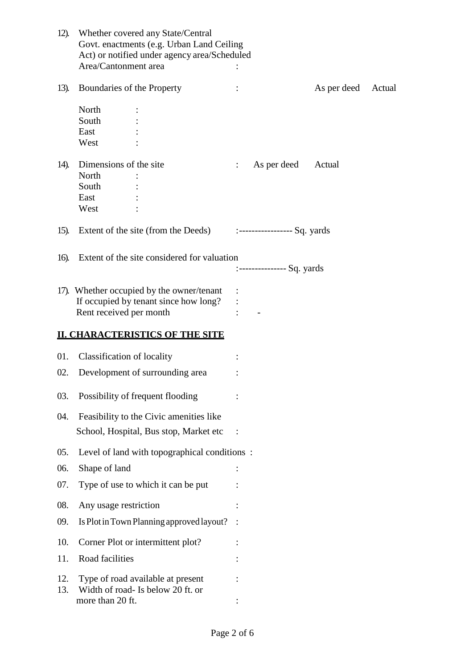| 12).    | Whether covered any State/Central<br>Govt. enactments (e.g. Urban Land Ceiling<br>Act) or notified under agency area/Scheduled |                               |             |        |
|---------|--------------------------------------------------------------------------------------------------------------------------------|-------------------------------|-------------|--------|
|         | Area/Cantonment area                                                                                                           |                               |             |        |
| 13).    | Boundaries of the Property                                                                                                     |                               | As per deed | Actual |
|         | North                                                                                                                          |                               |             |        |
|         | South                                                                                                                          |                               |             |        |
|         | East<br>West                                                                                                                   |                               |             |        |
|         |                                                                                                                                |                               |             |        |
| 14).    | Dimensions of the site                                                                                                         | As per deed                   | Actual      |        |
|         | North                                                                                                                          |                               |             |        |
|         | South                                                                                                                          |                               |             |        |
|         | East                                                                                                                           |                               |             |        |
|         | West                                                                                                                           |                               |             |        |
| $15)$ . | Extent of the site (from the Deeds)                                                                                            | :------------------ Sq. yards |             |        |
| 16).    | Extent of the site considered for valuation                                                                                    |                               |             |        |
|         |                                                                                                                                | :--------------- Sq. yards    |             |        |
|         |                                                                                                                                |                               |             |        |
|         | 17). Whether occupied by the owner/tenant                                                                                      |                               |             |        |
|         | If occupied by tenant since how long?                                                                                          |                               |             |        |
|         | Rent received per month                                                                                                        |                               |             |        |
|         | <b>II. CHARACTERISTICS OF THE SITE</b>                                                                                         |                               |             |        |
| 01.     | <b>Classification of locality</b>                                                                                              |                               |             |        |
| 02.     | Development of surrounding area                                                                                                |                               |             |        |
|         |                                                                                                                                |                               |             |        |
| 03.     | Possibility of frequent flooding                                                                                               |                               |             |        |
| 04.     | Feasibility to the Civic amenities like                                                                                        |                               |             |        |
|         | School, Hospital, Bus stop, Market etc                                                                                         |                               |             |        |
|         |                                                                                                                                |                               |             |        |
| 05.     | Level of land with topographical conditions:                                                                                   |                               |             |        |
| 06.     | Shape of land                                                                                                                  |                               |             |        |
| 07.     | Type of use to which it can be put                                                                                             |                               |             |        |
| 08.     | Any usage restriction                                                                                                          |                               |             |        |
| 09.     | Is Plot in Town Planning approved layout?                                                                                      |                               |             |        |
| 10.     | Corner Plot or intermittent plot?                                                                                              |                               |             |        |
| 11.     | Road facilities                                                                                                                |                               |             |        |
| 12.     | Type of road available at present                                                                                              |                               |             |        |
| 13.     | Width of road- Is below 20 ft. or                                                                                              |                               |             |        |
|         | more than 20 ft.                                                                                                               |                               |             |        |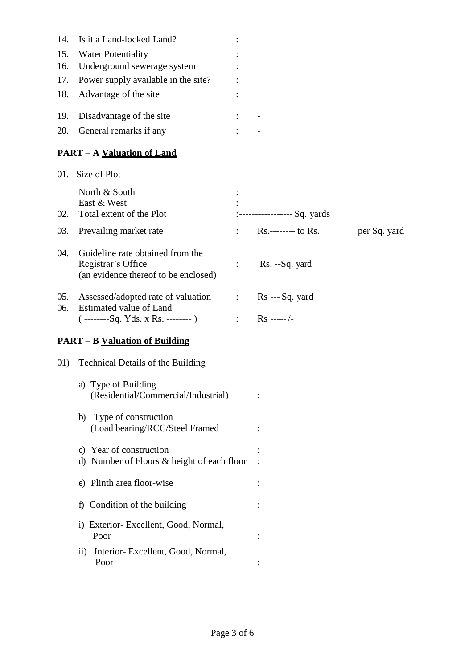| 14. | Is it a Land-locked Land?                                                                      |                           |                              |              |
|-----|------------------------------------------------------------------------------------------------|---------------------------|------------------------------|--------------|
| 15. | <b>Water Potentiality</b>                                                                      |                           |                              |              |
| 16. | Underground sewerage system                                                                    |                           |                              |              |
| 17. | Power supply available in the site?                                                            |                           |                              |              |
| 18. | Advantage of the site                                                                          |                           |                              |              |
| 19. | Disadvantage of the site                                                                       |                           |                              |              |
| 20. | General remarks if any                                                                         |                           |                              |              |
|     | <b>PART – A Valuation of Land</b>                                                              |                           |                              |              |
|     | 01. Size of Plot                                                                               |                           |                              |              |
|     | North & South                                                                                  |                           |                              |              |
|     | East & West                                                                                    |                           |                              |              |
| 02. | Total extent of the Plot                                                                       |                           | :----------------- Sq. yards |              |
| 03. | Prevailing market rate                                                                         | $\mathbb{R}^{\mathbb{Z}}$ | Rs.-------- to Rs.           | per Sq. yard |
| 04. | Guideline rate obtained from the<br>Registrar's Office<br>(an evidence thereof to be enclosed) | $\ddot{\cdot}$            | Rs. --Sq. yard               |              |
| 05. | Assessed/adopted rate of valuation                                                             | $\sim 100$ km s $^{-1}$   | Rs --- Sq. yard              |              |
| 06. | Estimated value of Land<br>$(-$ --------Sq. Yds. x Rs. --------)                               |                           | : $Rs$ -----/-               |              |
|     | <b>PART – B Valuation of Building</b>                                                          |                           |                              |              |
| 01) | Technical Details of the Building                                                              |                           |                              |              |
|     | a) Type of Building<br>(Residential/Commercial/Industrial)                                     |                           |                              |              |
|     | Type of construction<br>b)<br>(Load bearing/RCC/Steel Framed                                   |                           |                              |              |
|     | c) Year of construction<br>d) Number of Floors & height of each floor                          |                           |                              |              |
|     | e) Plinth area floor-wise                                                                      |                           |                              |              |
|     | f) Condition of the building                                                                   |                           |                              |              |
|     | i) Exterior- Excellent, Good, Normal,<br>Poor                                                  |                           |                              |              |
|     | Interior- Excellent, Good, Normal,<br>$\overline{11}$ )<br>Poor                                |                           |                              |              |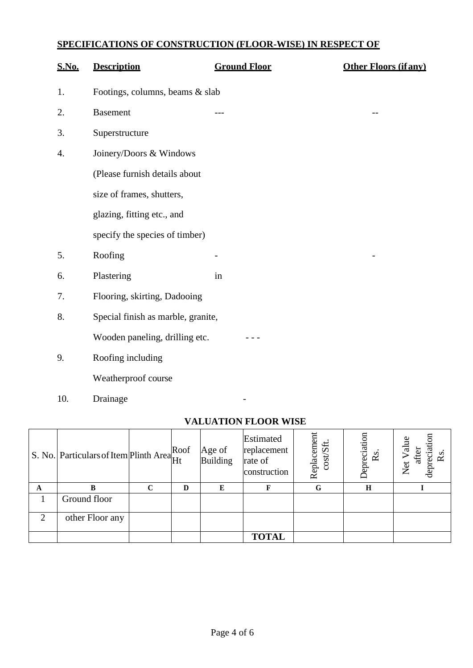# **SPECIFICATIONS OF CONSTRUCTION (FLOOR-WISE) IN RESPECT OF**

| <b>S.No.</b> | <b>Description</b>                 | <b>Ground Floor</b> | <b>Other Floors (if any)</b> |
|--------------|------------------------------------|---------------------|------------------------------|
| 1.           | Footings, columns, beams & slab    |                     |                              |
| 2.           | <b>Basement</b>                    |                     |                              |
| 3.           | Superstructure                     |                     |                              |
| 4.           | Joinery/Doors & Windows            |                     |                              |
|              | (Please furnish details about      |                     |                              |
|              | size of frames, shutters,          |                     |                              |
|              | glazing, fitting etc., and         |                     |                              |
|              | specify the species of timber)     |                     |                              |
| 5.           | Roofing                            | -                   |                              |
| 6.           | Plastering                         | in                  |                              |
| 7.           | Flooring, skirting, Dadooing       |                     |                              |
| 8.           | Special finish as marble, granite, |                     |                              |
|              | Wooden paneling, drilling etc.     |                     |                              |
| 9.           | Roofing including                  |                     |                              |
|              | Weatherproof course                |                     |                              |
|              |                                    |                     |                              |

10. Drainage **-**

#### **VALUATION FLOOR WISE**

|                | S. No. Particulars of Item Plinth Area Roof |   |   | Age of<br><b>Building</b> | Estimated<br>replacement<br>rate of<br>construction | Replacement<br>cost/Sft. | Depreciation<br>Rs. | depreciation<br>Value<br>after<br>Rs<br>Net |
|----------------|---------------------------------------------|---|---|---------------------------|-----------------------------------------------------|--------------------------|---------------------|---------------------------------------------|
| A              | B                                           | C | D | E                         | F                                                   | G                        | H                   |                                             |
|                | Ground floor                                |   |   |                           |                                                     |                          |                     |                                             |
| $\overline{2}$ | other Floor any                             |   |   |                           |                                                     |                          |                     |                                             |
|                |                                             |   |   |                           | <b>TOTAL</b>                                        |                          |                     |                                             |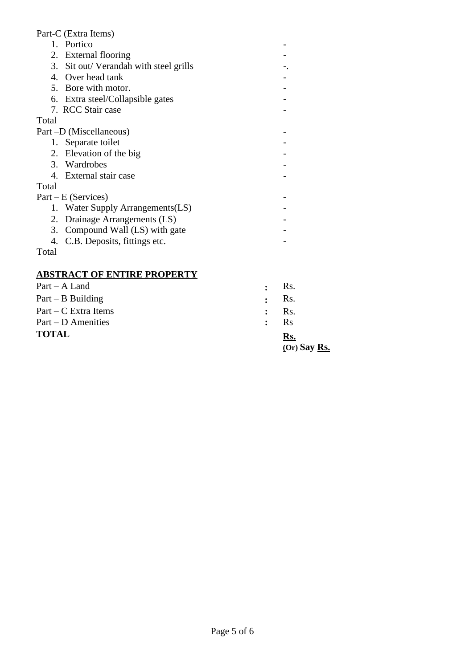#### Part-C (Extra Items)

1. Portico - 2. External flooring  $\overline{\phantom{a}}$ 3. Sit out/ Verandah with steel grills -. 4. Over head tank  $\overline{\phantom{a}}$ 5. Bore with motor. - 6. Extra steel/Collapsible gates **-** 7. RCC Stair case - Total Part –D (Miscellaneous) – 1. Separate toilet 2. Elevation of the big  $\overline{\phantom{a}}$ 3. Wardrobes - 4. External stair case **-** Total Part – E (Services) – 1. Water Supply Arrangements(LS) - 2. Drainage Arrangements (LS) - 3. Compound Wall (LS) with gate - 4. C.B. Deposits, fittings etc. **-** Total **ABSTRACT OF ENTIRE PROPERTY** Part – A Land **:** Rs.

| <b>TOTAL</b>           |                                        | Ks.                |
|------------------------|----------------------------------------|--------------------|
| $Part - D$ Amenities   | $\mathbf{R}$ $\mathbf{R}$ $\mathbf{S}$ |                    |
| $Part - C$ Extra Items |                                        | $\mathbf{R}$ : Rs. |
| $Part - B$ Building    |                                        | $\cdot$ Rs.        |
|                        |                                        | ----               |

**(Or) Say Rs.**